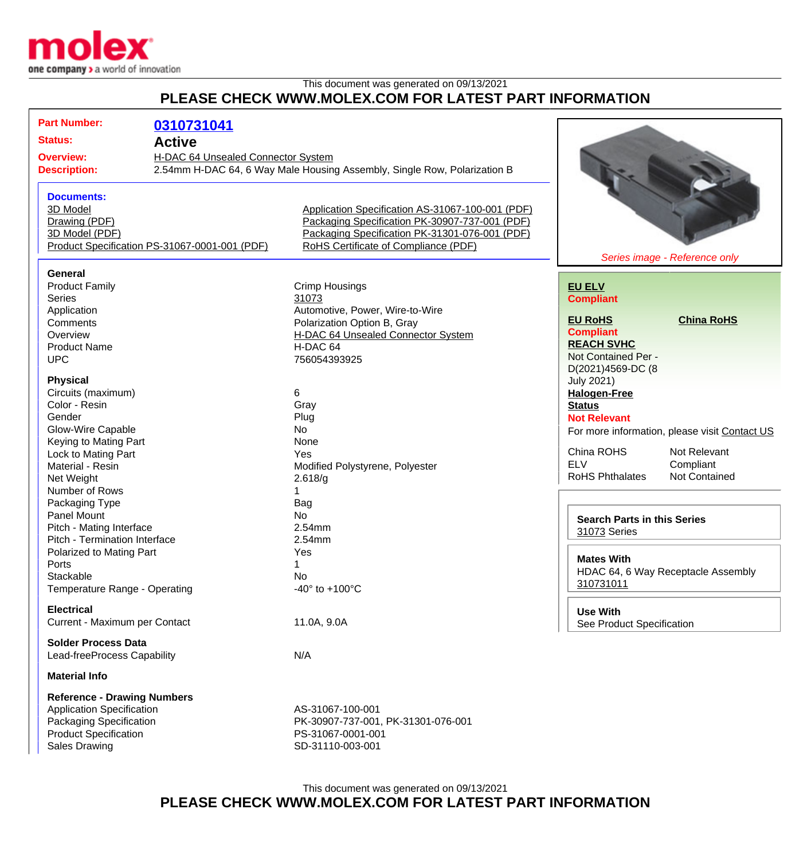

## This document was generated on 09/13/2021 **PLEASE CHECK WWW.MOLEX.COM FOR LATEST PART INFORMATION**

| <b>Part Number:</b><br>0310731041                      |                                                                          |                                    |                                               |
|--------------------------------------------------------|--------------------------------------------------------------------------|------------------------------------|-----------------------------------------------|
| <b>Status:</b><br><b>Active</b>                        |                                                                          |                                    |                                               |
| H-DAC 64 Unsealed Connector System<br><b>Overview:</b> |                                                                          |                                    |                                               |
| <b>Description:</b>                                    | 2.54mm H-DAC 64, 6 Way Male Housing Assembly, Single Row, Polarization B |                                    |                                               |
|                                                        |                                                                          |                                    |                                               |
|                                                        |                                                                          |                                    |                                               |
| <b>Documents:</b><br>3D Model                          |                                                                          |                                    |                                               |
|                                                        | Application Specification AS-31067-100-001 (PDF)                         |                                    |                                               |
| Drawing (PDF)                                          | Packaging Specification PK-30907-737-001 (PDF)                           |                                    |                                               |
| 3D Model (PDF)                                         | Packaging Specification PK-31301-076-001 (PDF)                           |                                    |                                               |
| Product Specification PS-31067-0001-001 (PDF)          | RoHS Certificate of Compliance (PDF)                                     |                                    |                                               |
| Series image - Reference only                          |                                                                          |                                    |                                               |
| General                                                |                                                                          |                                    |                                               |
| <b>Product Family</b>                                  | Crimp Housings                                                           | <b>EU ELV</b>                      |                                               |
| <b>Series</b><br>31073                                 |                                                                          | <b>Compliant</b>                   |                                               |
| Application                                            | Automotive, Power, Wire-to-Wire                                          |                                    |                                               |
| Comments                                               | Polarization Option B, Gray                                              | <b>EU RoHS</b>                     | <b>China RoHS</b>                             |
| Overview                                               | H-DAC 64 Unsealed Connector System                                       | <b>Compliant</b>                   |                                               |
| <b>Product Name</b>                                    | H-DAC 64                                                                 | <b>REACH SVHC</b>                  |                                               |
| <b>UPC</b>                                             | 756054393925                                                             | Not Contained Per -                |                                               |
|                                                        |                                                                          | D(2021)4569-DC (8                  |                                               |
| <b>Physical</b>                                        |                                                                          | <b>July 2021)</b>                  |                                               |
| Circuits (maximum)<br>6                                |                                                                          | <b>Halogen-Free</b>                |                                               |
| Color - Resin<br>Gray                                  |                                                                          | <b>Status</b>                      |                                               |
| Gender<br>Plug                                         |                                                                          | <b>Not Relevant</b>                |                                               |
| Glow-Wire Capable<br><b>No</b>                         |                                                                          |                                    | For more information, please visit Contact US |
| Keying to Mating Part<br>None                          |                                                                          |                                    |                                               |
| Lock to Mating Part<br>Yes                             |                                                                          | China ROHS                         | Not Relevant                                  |
| Material - Resin                                       | Modified Polystyrene, Polyester                                          | <b>ELV</b>                         | Compliant                                     |
| Net Weight<br>2.618/g                                  |                                                                          | <b>RoHS Phthalates</b>             | <b>Not Contained</b>                          |
| Number of Rows                                         |                                                                          |                                    |                                               |
| Packaging Type<br>Bag                                  |                                                                          |                                    |                                               |
| <b>Panel Mount</b><br><b>No</b>                        |                                                                          | <b>Search Parts in this Series</b> |                                               |
| Pitch - Mating Interface<br>2.54mm                     |                                                                          | 31073 Series                       |                                               |
| Pitch - Termination Interface<br>2.54mm                |                                                                          |                                    |                                               |
| Polarized to Mating Part<br>Yes                        |                                                                          |                                    |                                               |
| Ports<br>1                                             |                                                                          | <b>Mates With</b>                  |                                               |
| Stackable<br>No                                        |                                                                          |                                    | HDAC 64, 6 Way Receptacle Assembly            |
| Temperature Range - Operating                          | $-40^{\circ}$ to $+100^{\circ}$ C                                        | 310731011                          |                                               |
|                                                        |                                                                          |                                    |                                               |
| <b>Electrical</b>                                      |                                                                          | <b>Use With</b>                    |                                               |
| Current - Maximum per Contact                          | 11.0A, 9.0A                                                              | See Product Specification          |                                               |
| <b>Solder Process Data</b>                             |                                                                          |                                    |                                               |
| Lead-freeProcess Capability<br>N/A                     |                                                                          |                                    |                                               |
|                                                        |                                                                          |                                    |                                               |
| <b>Material Info</b>                                   |                                                                          |                                    |                                               |
| <b>Reference - Drawing Numbers</b>                     |                                                                          |                                    |                                               |
| <b>Application Specification</b>                       | AS-31067-100-001                                                         |                                    |                                               |
| Packaging Specification                                | PK-30907-737-001, PK-31301-076-001                                       |                                    |                                               |
| <b>Product Specification</b>                           | PS-31067-0001-001                                                        |                                    |                                               |
| <b>Sales Drawing</b>                                   | SD-31110-003-001                                                         |                                    |                                               |
|                                                        |                                                                          |                                    |                                               |